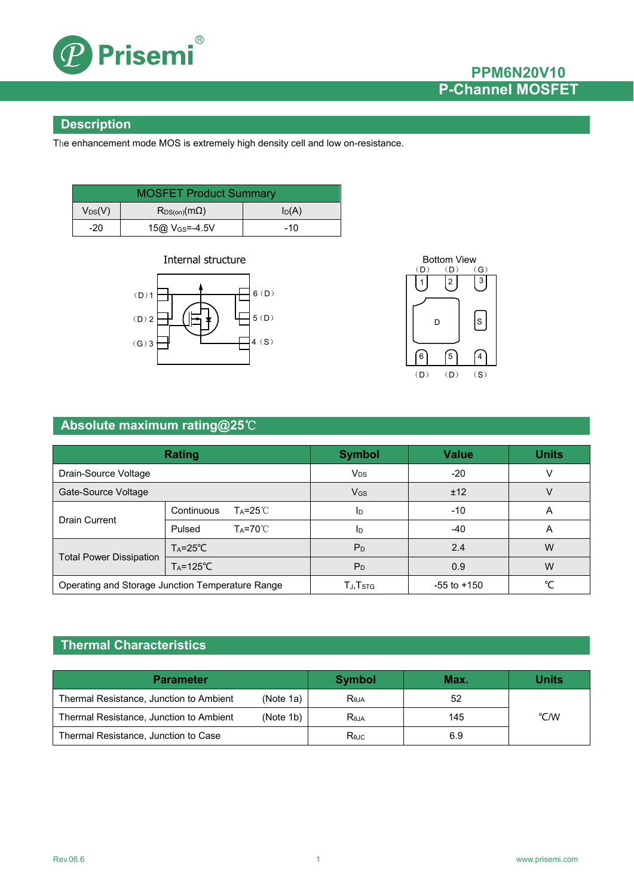

## **PPM6N20V10 P-Channel MOSFET**

### **Description**

The enhancement mode MOS is extremely high density cell and low on-resistance.

| <b>MOSFET Product Summary</b>                    |                            |       |  |
|--------------------------------------------------|----------------------------|-------|--|
| $V_{DS}(V)$<br>$I_D(A)$<br>$R_{DS(on)}(m\Omega)$ |                            |       |  |
| $-20$                                            | 15@ V <sub>GS</sub> =-4.5V | $-10$ |  |





### **Absolute maximum rating@25**℃

| Rating                                           |                                   | <b>Symbol</b>                      | <b>Value</b>    | <b>Units</b> |
|--------------------------------------------------|-----------------------------------|------------------------------------|-----------------|--------------|
| Drain-Source Voltage                             |                                   | <b>V</b> <sub>DS</sub>             | $-20$           |              |
| Gate-Source Voltage                              |                                   | <b>V<sub>GS</sub></b>              | ±12             |              |
| <b>Drain Current</b>                             | Continuous<br>T <sub>A</sub> =25℃ | ID                                 | $-10$           | A            |
|                                                  | Pulsed<br>$Ta=70^{\circ}C$        | ID                                 | $-40$           | А            |
| <b>Total Power Dissipation</b>                   | $Ta = 25^{\circ}C$                | P <sub>D</sub>                     | 2.4             | W            |
|                                                  | $T_A = 125^{\circ}C$              | P <sub>D</sub>                     | 0.9             | W            |
| Operating and Storage Junction Temperature Range |                                   | $T_{\mathsf{J}}, T_{\mathsf{STG}}$ | $-55$ to $+150$ | ∘∕           |

## **Thermal Characteristics**

| <b>Parameter</b>                        |           | <b>Symbol</b> | Max. | <b>Units</b> |
|-----------------------------------------|-----------|---------------|------|--------------|
| Thermal Resistance, Junction to Ambient | (Note 1a) | <b>Reja</b>   | 52   |              |
| Thermal Resistance, Junction to Ambient | (Note 1b) | $R_{0,IA}$    | 145  | °C/W         |
| Thermal Resistance, Junction to Case    |           | Rejc          | 6.9  |              |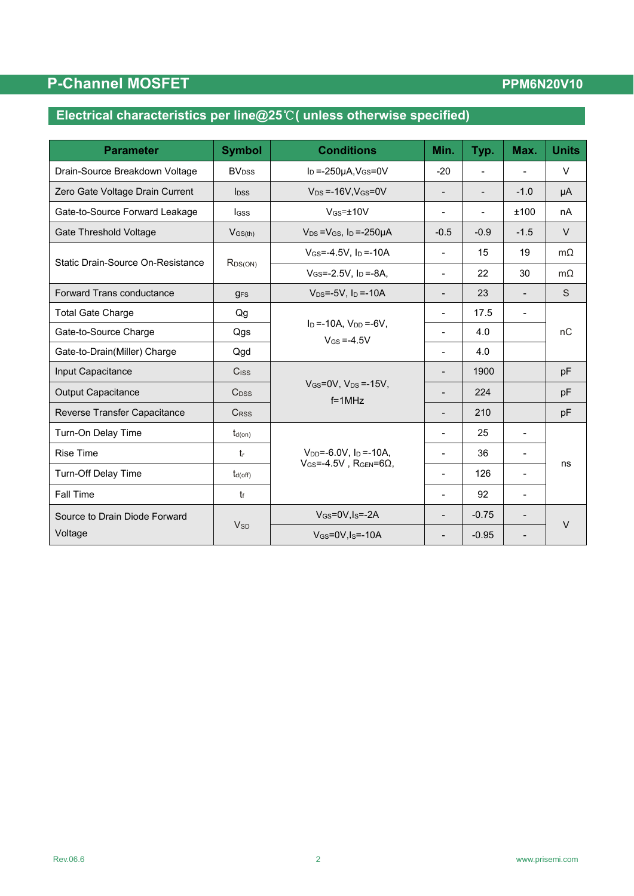# **P-Channel MOSFET**

## **PPM6N20V10**

# **Electrical characteristics per line@25**℃**( unless otherwise specified)**

| <b>Parameter</b>                  | <b>Symbol</b>            | <b>Conditions</b>                                             | Min.                         | Typ.                     | Max.                     | <b>Units</b> |
|-----------------------------------|--------------------------|---------------------------------------------------------------|------------------------------|--------------------------|--------------------------|--------------|
| Drain-Source Breakdown Voltage    | <b>BV</b> <sub>DSS</sub> | $I_D = -250\mu A$ , $V_{GS} = 0V$                             | $-20$                        |                          |                          | $\vee$       |
| Zero Gate Voltage Drain Current   | $\mathsf{loss}$          | $V_{DS} = -16V$ . $V_{GS} = 0V$                               | $\qquad \qquad \blacksquare$ | $\overline{\phantom{a}}$ | $-1.0$                   | μA           |
| Gate-to-Source Forward Leakage    | <b>I</b> GSS             | $V$ <sub>GS</sub> $=$ $±10V$                                  |                              |                          | ±100                     | nA           |
| Gate Threshold Voltage            | $V$ <sub>GS(th)</sub>    | $V_{DS} = V_{GS}$ , $I_D = -250 \mu A$                        | $-0.5$                       | $-0.9$                   | $-1.5$                   | $\vee$       |
|                                   |                          | $V_{GS} = -4.5V$ , $I_D = -10A$                               | $\overline{\phantom{a}}$     | 15                       | 19                       | $m\Omega$    |
| Static Drain-Source On-Resistance | $R_{DS(ON)}$             | $V_{GS} = -2.5V$ , $I_D = -8A$ ,                              | $\blacksquare$               | 22                       | 30                       | $m\Omega$    |
| <b>Forward Trans conductance</b>  | <b>g<sub>FS</sub></b>    | $V_{DS} = -5V$ , $I_D = -10A$                                 | $\overline{\phantom{a}}$     | 23                       | $\blacksquare$           | S            |
| <b>Total Gate Charge</b>          | Qg                       |                                                               | $\overline{\phantom{a}}$     | 17.5                     | $\blacksquare$           |              |
| Gate-to-Source Charge             | Qgs                      | $I_D = -10A$ , $V_{DD} = -6V$ ,<br>$V$ <sub>GS</sub> = -4.5V  |                              | 4.0                      |                          | nC           |
| Gate-to-Drain(Miller) Charge      | Qgd                      |                                                               |                              | 4.0                      |                          |              |
| Input Capacitance                 | C <sub>ISS</sub>         |                                                               |                              | 1900                     |                          | pF           |
| <b>Output Capacitance</b>         | $C_{DSS}$                | $V$ <sub>GS</sub> = $0V$ , $V_{DS}$ =-15 $V$ ,<br>$f = 1$ MHz | $\blacksquare$               | 224                      |                          | pF           |
| Reverse Transfer Capacitance      | <b>CRSS</b>              |                                                               | $\overline{\phantom{0}}$     | 210                      |                          | pF           |
| Turn-On Delay Time                | $t_{d(on)}$              |                                                               | $\blacksquare$               | 25                       | $\overline{\phantom{0}}$ |              |
| <b>Rise Time</b>                  | t                        | $V_{DD} = -6.0V$ , $I_D = -10A$ ,                             |                              | 36                       |                          |              |
| <b>Turn-Off Delay Time</b>        | $t_{d(off)}$             | $V$ GS=-4.5V, RGEN=6 $\Omega$ ,                               |                              | 126                      | $\blacksquare$           | ns           |
| Fall Time                         | $t_{\rm f}$              |                                                               |                              | 92                       |                          |              |
| Source to Drain Diode Forward     |                          | $V$ <sub>GS</sub> = $0V$ , I <sub>S</sub> = $-2A$             |                              | $-0.75$                  |                          | $\vee$       |
| Voltage                           | <b>V<sub>SD</sub></b>    | $V$ <sub>GS</sub> =0V,I <sub>s</sub> =-10A                    |                              | $-0.95$                  |                          |              |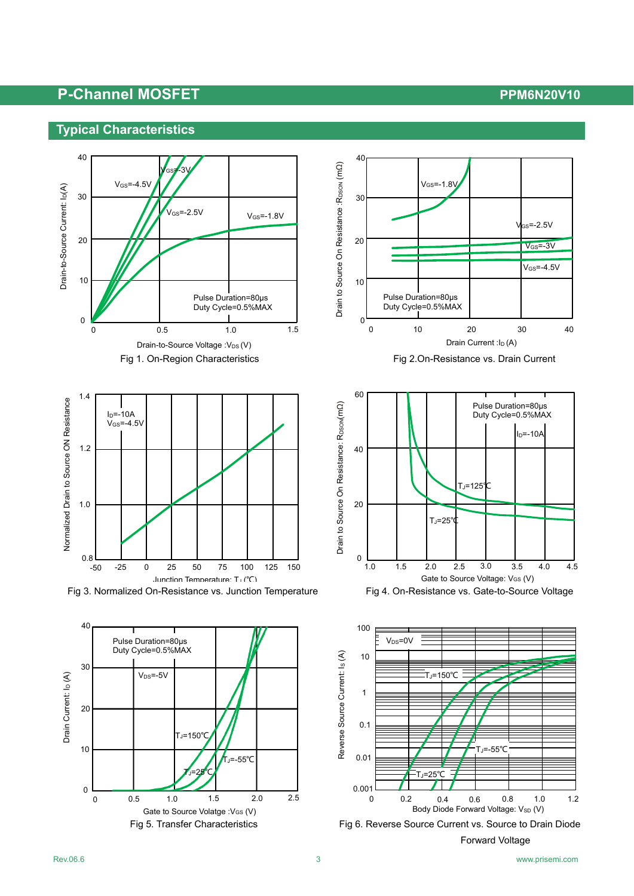### **Typical Characteristics**













Fig 5. Transfer Characteristics Fig 6. Reverse Source Current vs. Source to Drain Diode Forward Voltage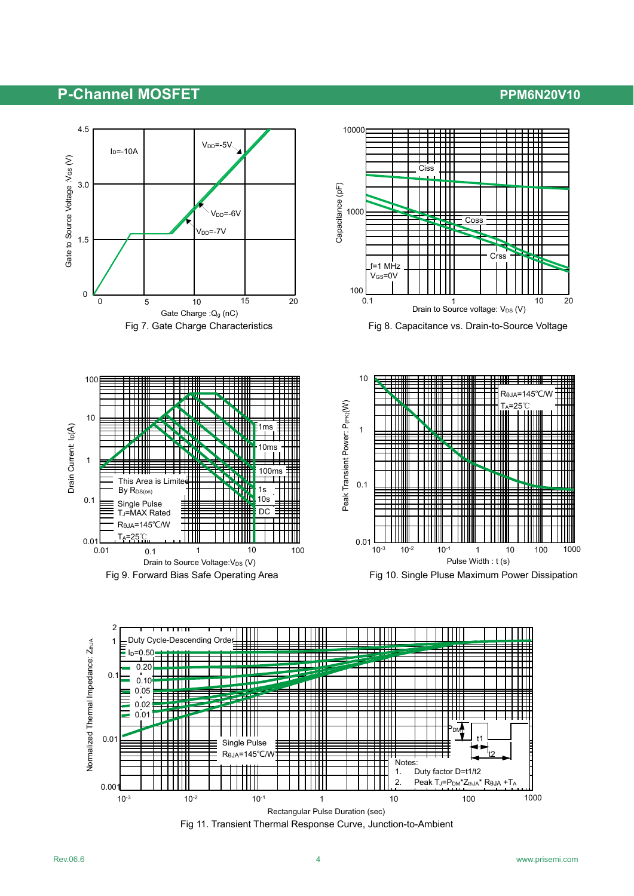







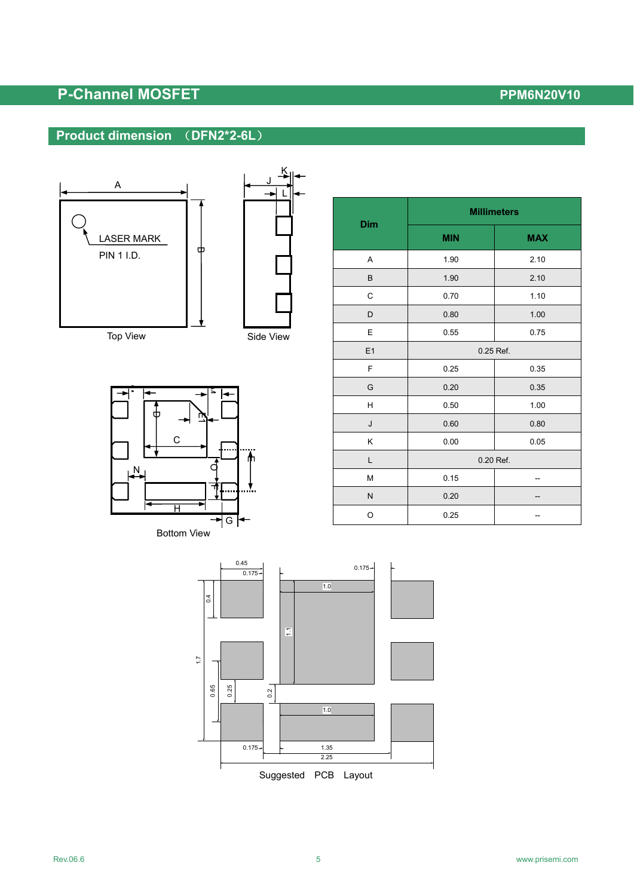### **Product dimension** (**DFN2\*2-6L**)







| Dim | <b>Millimeters</b> |            |  |
|-----|--------------------|------------|--|
|     | <b>MIN</b>         | <b>MAX</b> |  |
| Α   | 1.90               | 2.10       |  |
| B   | 1.90               | 2.10       |  |
| C   | 0.70               | 1.10       |  |
| D   | 0.80               | 1.00       |  |
| E   | 0.55<br>0.75       |            |  |
| E1  | 0.25 Ref.          |            |  |
| F   | 0.25               | 0.35       |  |
| G   | 0.20               | 0.35       |  |
| н   | 0.50               | 1.00       |  |
| J   | 0.60               | 0.80       |  |
| Κ   | 0.00<br>0.05       |            |  |
| L   | 0.20 Ref.          |            |  |
| M   | 0.15               |            |  |
| N   | 0.20               |            |  |
| O   | 0.25               |            |  |

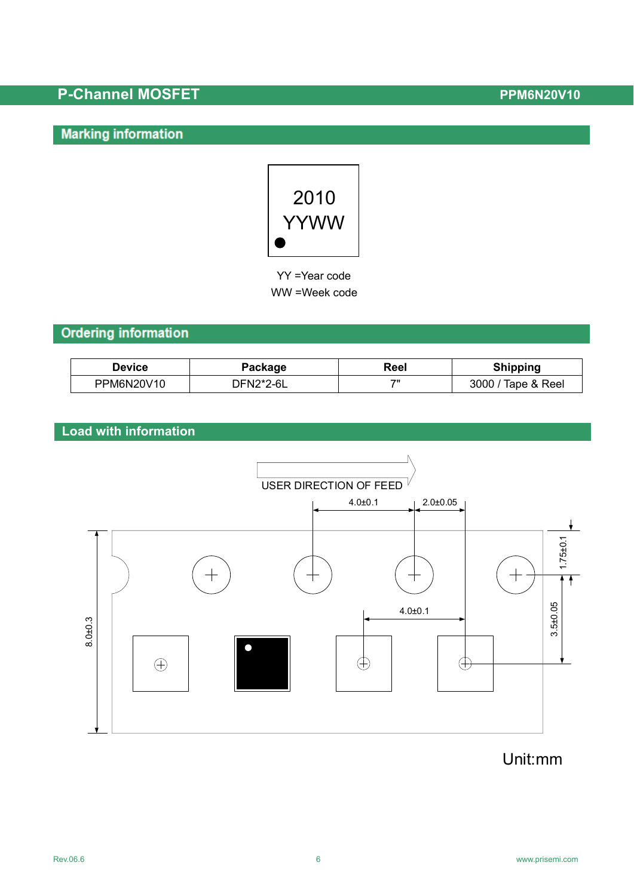# **Marking information**



 YY =Year code WW =Week code

## **Ordering information**

| <b>Device</b> | Package   | Reel | <b>Shipping</b>    |
|---------------|-----------|------|--------------------|
| PPM6N20V10    | DFN2*2-6L | フリ   | 3000 / Tape & Reel |

## **Load with information**



# Unit:mm